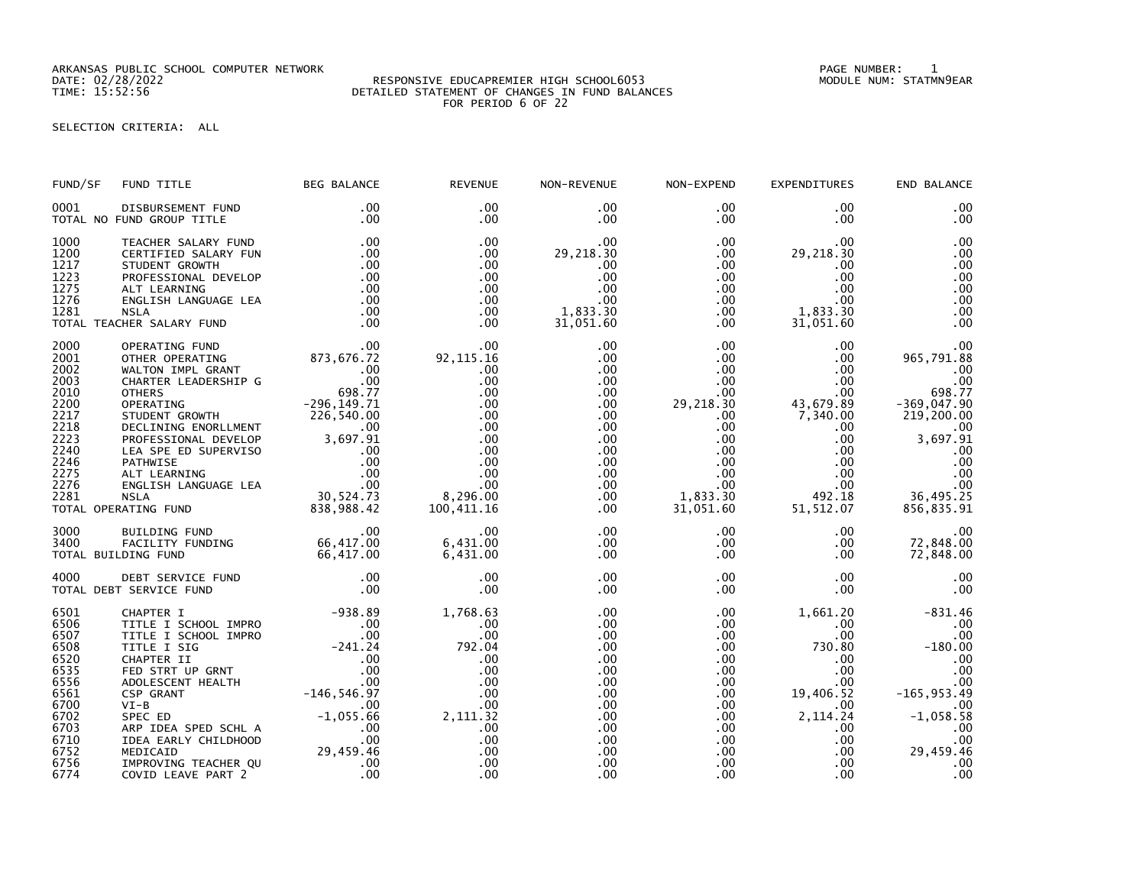ARKANSAS PUBLIC SCHOOL COMPUTER NETWORK PAGE NUMBER: 1

## DATE: 02/28/2022 RESPONSIVE EDUCAPREMIER HIGH SCHOOL6053 MODULE NUM: STATMN9EAR TIME: 15:52:56 DETAILED STATEMENT OF CHANGES IN FUND BALANCES FOR PERIOD 6 OF 22

SELECTION CRITERIA: ALL

| FUND/SF                                                                                                              | FUND TITLE                                                                                                                                                                                                                                                                                                                                                     | <b>BEG BALANCE</b>                                                                | <b>REVENUE</b>                                                                                                          | NON-REVENUE                                                                                                                                                                      | NON-EXPEND                                                                                                                                                                     | <b>EXPENDITURES</b>                                                                                                                                                             | END BALANCE                                                                                                                                          |
|----------------------------------------------------------------------------------------------------------------------|----------------------------------------------------------------------------------------------------------------------------------------------------------------------------------------------------------------------------------------------------------------------------------------------------------------------------------------------------------------|-----------------------------------------------------------------------------------|-------------------------------------------------------------------------------------------------------------------------|----------------------------------------------------------------------------------------------------------------------------------------------------------------------------------|--------------------------------------------------------------------------------------------------------------------------------------------------------------------------------|---------------------------------------------------------------------------------------------------------------------------------------------------------------------------------|------------------------------------------------------------------------------------------------------------------------------------------------------|
| 0001                                                                                                                 | DISBURSEMENT FUND<br>TOTAL NO FUND GROUP TITLE                                                                                                                                                                                                                                                                                                                 | .00<br>.00                                                                        | .00<br>$.00 \,$                                                                                                         | $.00 \,$<br>.00                                                                                                                                                                  | $.00 \,$<br>$.00 \,$                                                                                                                                                           | .00<br>$.00 \,$                                                                                                                                                                 | .00<br>.00                                                                                                                                           |
| 1000<br>1200<br>1217<br>1223<br>1275<br>1276<br>1281                                                                 | TEACHER SALARY FUND<br>CERTIFIED SALARY FUN<br>STUDENT GROWTH<br>PROFESSIONAL DEVELOP<br>ALT LEARNING<br>ENGLISH LANGUAGE LEA<br>NSLA<br>CHER SALARY FUND<br>TOTAL TEACHER SALARY FUND                                                                                                                                                                         | .00<br>.00<br>.00<br>.00<br>.00<br>.00<br>.00<br>.00                              | .00<br>$.00 \,$<br>.00<br>.00<br>$.00 \,$<br>$.00 \times$<br>$.00 \,$<br>$.00 \times$                                   | $.00 \,$<br>29,218.30<br>.00<br>.00<br>.00<br>.00<br>1,833.30<br>31,051.60                                                                                                       | $.00 \,$<br>$.00 \,$<br>.00<br>$.00 \,$<br>$.00\,$<br>.00<br>$.00 \,$<br>$.00 \,$                                                                                              | $.00 \,$<br>29,218.30<br>.00<br>.00<br>$.00 \,$<br>$.00 \,$<br>1,833.30<br>31,051.60                                                                                            | .00<br>.00<br>.00<br>.00<br>.00<br>.00<br>.00<br>.00                                                                                                 |
| 2000<br>2001<br>2002<br>2003<br>2010<br>2200<br>2217<br>2218<br>2223<br>2240<br>2246<br>2275<br>2276<br>2281         | CHER SALARY FUND<br>OPERATING FUND<br>OTHER OPERATING 873,676.72<br>WALTON IMPL GRANT .00<br>CHARTER LEADERSHIP G<br>OTHERS<br>OPERATING 698.77<br>OPERATING 698.77<br>OPERATING 698.77<br>OPERATING 698.77<br>OPERATING 698.77<br>OPERATING 698.77<br><br>TOTAL OPERATING FUND                                                                                |                                                                                   | 00.<br>92,115.16<br>.00<br>.00<br>.00<br>.00<br>.00<br>.00<br>.00<br>.00<br>.00<br>.00<br>.00<br>8,296.00<br>100,411.16 | $.00 \,$<br>$.00 \,$<br>$.00 \,$<br>$.00 \,$<br>$.00 \,$<br>$.00 \,$<br>$.00 \,$<br>$.00 \,$<br>$.00 \,$<br>$.00 \,$<br>$.00 \,$<br>$.00 \,$<br>$.00 \,$<br>$.00 \,$<br>$.00 \,$ | $.00 \,$<br>$.00 \,$<br>$.00 \,$<br>$.00\,$<br>$.00 \,$<br>29,218.30<br>$.00 \,$<br>$.00 \,$<br>$.00 \cdot$<br>.00<br>$.00 \,$<br>$.00 \,$<br>$.00\,$<br>1,833.30<br>31,051.60 | $.00 \,$<br>$.00 \,$<br>$.00 \,$<br>$.00 \,$<br>$.00 \,$<br>43,679.89<br>7,340.00<br>$.00 \,$<br>$.00 \,$<br>$.00 \,$<br>.00<br>.00<br>$.00 \,$<br>492.18<br>51,512.07          | .00<br>965,791.88<br>.00<br>.00<br>698.77<br>$-369,047.90$<br>219,200.00<br>.00<br>3,697.91<br>.00<br>.00<br>$.00$<br>.00<br>36,495.25<br>856,835.91 |
| 3000<br>3400                                                                                                         | 00. 00<br>FACILITY FUNDING 66,417.00<br>DING FUND 66,417.00<br>TOTAL BUILDING FUND                                                                                                                                                                                                                                                                             |                                                                                   | .00<br>6,431.00<br>6,431.00                                                                                             | $.00 \,$<br>$.00 \,$<br>$.00 \,$                                                                                                                                                 | $.00\,$<br>$.00 \,$<br>$.00 \,$                                                                                                                                                | $.00 \,$<br>$.00 \,$<br>$.00 \,$                                                                                                                                                | .00<br>72,848.00<br>72,848.00                                                                                                                        |
| 4000                                                                                                                 | TOTAL DEBT SERVICE FUND                                                                                                                                                                                                                                                                                                                                        |                                                                                   | .00<br>.00                                                                                                              | $.00 \,$<br>$.00 \,$                                                                                                                                                             | $.00 \,$<br>$.00 \,$                                                                                                                                                           | $.00 \,$<br>$.00 \,$                                                                                                                                                            |                                                                                                                                                      |
| 6501<br>6506<br>6507<br>6508<br>6520<br>6535<br>6556<br>6561<br>6700<br>6702<br>6703<br>6710<br>6752<br>6756<br>6774 | -938.89<br>TITLE I SCHOOL IMPRO<br>TITLE I SCHOOL IMPRO<br>TITLE I SCHOOL IMPRO<br>TITLE I SIG<br>-241.24<br>CHAPTER II<br>FED STRT UP GRNT<br>ROLESCENT HEALTH<br>COPLESCENT HEALTH<br>-146,546.97<br>VI-B<br>-2010<br>-240.00<br>$VI-B$<br>SPEC ED<br>ARP IDEA SPED SCHL A<br>IDEA EARLY CHILDHOOD<br>MEDICAID<br>IMPROVING TEACHER QU<br>COVID LEAVE PART 2 | 00<br>00 -1,055.66<br>CHILDHOOD -1,055.66<br>00 .00<br>29,459.45 .46<br>ART 2 .00 | 1,768.63<br>.00<br>.00<br>792.04<br>.00<br>.00<br>.00<br>.00<br>.00<br>2,111.32<br>.00<br>.00<br>.00<br>.00<br>.00      | $.00 \,$<br>.00<br>.00<br>.00<br>.00<br>$.00 \,$<br>$.00 \,$<br>$.00 \,$<br>$.00 \,$<br>$.00 \,$<br>.00<br>$.00 \,$<br>.00<br>$.00 \,$<br>.00                                    | $.00 \,$<br>$.00 \,$<br>$.00 \,$<br>$.00 \,$<br>$.00\,$<br>.00<br>$.00 \,$<br>$.00 \,$<br>$.00 \,$<br>$.00 \,$<br>$.00 \,$<br>$.00\,$<br>$.00 \,$<br>$.00 \,$<br>.00           | 1,661.20<br>$.00 \,$<br>.00<br>730.80<br>$.00 \,$<br>$.00 \,$<br>$.00 \,$<br>19,406.52<br>$.00 \,$<br>2, 114.24<br>$.00 \,$<br>$.00 \,$<br>$.00 \,$<br>$.00 \,$<br>$.00 \times$ | $-831.46$<br>.00<br>.00<br>$-180.00$<br>.00<br>.00<br>.00<br>$-165, 953.49$<br>.00<br>$-1,058.58$<br>.00<br>.00<br>29,459.46<br>.00<br>00            |